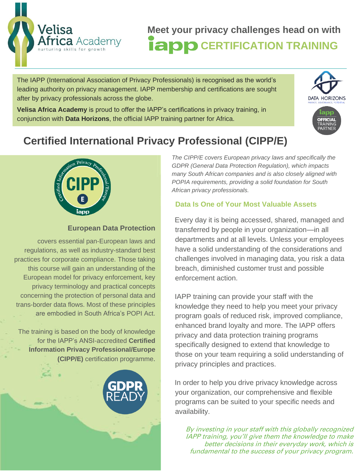

The IAPP (International Association of Privacy Professionals) is recognised as the world's leading authority on privacy management. IAPP membership and certifications are sought after by privacy professionals across the globe.

**Velisa Africa Academy** is proud to offer the IAPP's certifications in privacy training, in conjunction with **Data Horizons**, the official IAPP training partner for Africa.



# **Certified International Privacy Professional (CIPP/E)**



### **European Data Protection**

covers essential pan-European laws and regulations, as well as industry-standard best practices for corporate compliance. Those taking this course will gain an understanding of the European model for privacy enforcement, key privacy terminology and practical concepts concerning the protection of personal data and trans-border data flows. Most of these principles are embodied in South Africa's POPI Act.

The training is based on the body of knowledge for the IAPP's ANSI-accredited **Certified Information Privacy Professional/Europe (CIPP/E)** certification programme.



*The CIPP/E covers European privacy laws and specifically the GDPR (General Data Protection Regulation), which impacts many South African companies and is also closely aligned with POPIA requirements, providing a solid foundation for South African privacy professionals.*

### **Data Is One of Your Most Valuable Assets**

Every day it is being accessed, shared, managed and transferred by people in your organization—in all departments and at all levels. Unless your employees have a solid understanding of the considerations and challenges involved in managing data, you risk a data breach, diminished customer trust and possible enforcement action.

IAPP training can provide your staff with the knowledge they need to help you meet your privacy program goals of reduced risk, improved compliance, enhanced brand loyalty and more. The IAPP offers privacy and data protection training programs specifically designed to extend that knowledge to those on your team requiring a solid understanding of privacy principles and practices.

In order to help you drive privacy knowledge across your organization, our comprehensive and flexible programs can be suited to your specific needs and availability.

By investing in your staff with this globally recognized IAPP training, you'll give them the knowledge to make better decisions in their everyday work, which is fundamental to the success of your privacy program.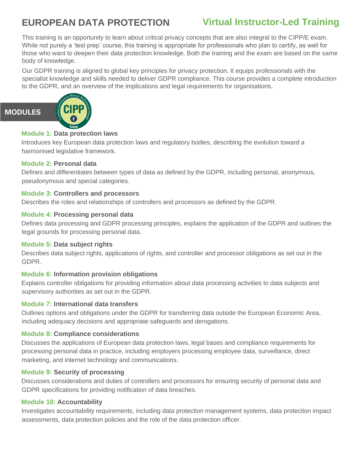# **EUROPEAN DATA PROTECTION**

## **Virtual Instructor-Led Training**

This training is an opportunity to learn about critical privacy concepts that are also integral to the CIPP/E exam. While not purely a 'test prep' course, this training is appropriate for professionals who plan to certify, as well for those who want to deepen their data protection knowledge. Both the training and the exam are based on the same body of knowledge.

Our GDPR training is aligned to global key principles for privacy protection. It equips professionals with the specialist knowledge and skills needed to deliver GDPR compliance. This course provides a complete introduction to the GDPR, and an overview of the implications and legal requirements for organisations.



**MODULES**

#### **Module 1: Data protection laws**

Introduces key European data protection laws and regulatory bodies, describing the evolution toward a harmonised legislative framework.

#### **Module 2: Personal data**

Defines and differentiates between types of data as defined by the GDPR, including personal, anonymous, pseudonymous and special categories.

#### **Module 3: Controllers and processors**

Describes the roles and relationships of controllers and processors as defined by the GDPR.

#### **Module 4: Processing personal data**

Defines data processing and GDPR processing principles, explains the application of the GDPR and outlines the legal grounds for processing personal data.

#### **Module 5: Data subject rights**

Describes data subject rights, applications of rights, and controller and processor obligations as set out in the GDPR.

#### **Module 6: Information provision obligations**

Explains controller obligations for providing information about data processing activities to data subjects and supervisory authorities as set out in the GDPR.

#### **Module 7: International data transfers**

Outlines options and obligations under the GDPR for transferring data outside the European Economic Area, including adequacy decisions and appropriate safeguards and derogations.

#### **Module 8: Compliance considerations**

Discusses the applications of European data protection laws, legal bases and compliance requirements for processing personal data in practice, including employers processing employee data, surveillance, direct marketing, and internet technology and communications.

#### **Module 9: Security of processing**

Discusses considerations and duties of controllers and processors for ensuring security of personal data and GDPR specifications for providing notification of data breaches.

#### **Module 10: Accountability**

Investigates accountability requirements, including data protection management systems, data protection impact assessments, data protection policies and the role of the data protection officer.